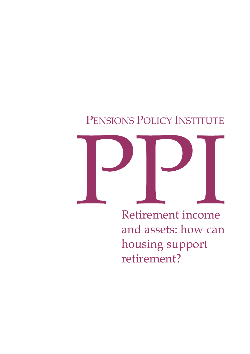# PENSIONS POLICY INSTITUTE



Retirement income and assets: how can housing support retirement?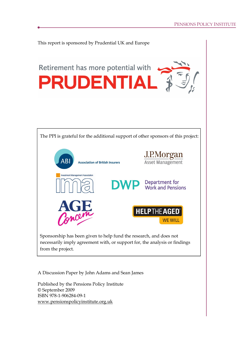

A Discussion Paper by John Adams and Sean James

Published by the Pensions Policy Institute © September 2009 ISBN 978-1-906284-09-1 www.pensionspolicyinstitute.org.uk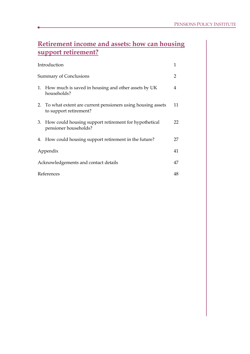# **Retirement income and assets: how can housing support retirement?**

|                                      | Introduction                                                                            | 1  |
|--------------------------------------|-----------------------------------------------------------------------------------------|----|
|                                      | <b>Summary of Conclusions</b>                                                           | 2  |
|                                      | 1. How much is saved in housing and other assets by UK<br>households?                   | 4  |
|                                      | 2. To what extent are current pensioners using housing assets<br>to support retirement? | 11 |
|                                      | 3. How could housing support retirement for hypothetical<br>pensioner households?       | 22 |
|                                      | 4. How could housing support retirement in the future?                                  | 27 |
|                                      | Appendix                                                                                | 41 |
| Acknowledgements and contact details |                                                                                         |    |
|                                      | References                                                                              | 48 |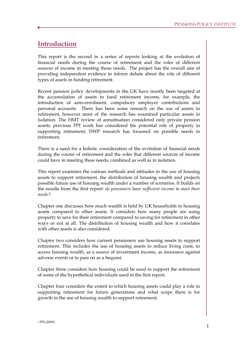# **Introduction**

This report is the second in a series of reports looking at the evolution of financial needs during the course of retirement and the roles of different sources of income in meeting those needs. The project has the overall aim of providing independent evidence to inform debate about the role of different types of assets in funding retirement.

Recent pension policy developments in the UK have mostly been targeted at the accumulation of assets to fund retirement income, for example, the introduction of auto-enrolment, compulsory employer contributions and personal accounts. There has been some research on the use of assets in retirement, however most of the research has examined particular assets in isolation. The HMT review of annuitisation considered only private pension assets; previous PPI work has considered the potential role of property in supporting retirement; DWP research has focussed on possible needs in retirement.

There is a need for a holistic consideration of the evolution of financial needs during the course of retirement and the roles that different sources of income could have in meeting these needs, combined as well as in isolation.

This report examines the various methods and attitudes to the use of housing assets to support retirement, the distribution of housing wealth and projects possible future use of housing wealth under a number of scenarios. It builds on the results from the first report: *do pensioners have sufficient income to meet their needs?<sup>1</sup>*

Chapter one discusses how much wealth is held by UK households in housing assets compared to other assets. It considers how many people are using property to save for their retirement compared to saving for retirement in other ways or not at all. The distribution of housing wealth and how it correlates with other assets is also considered.

Chapter two considers how current pensioners use housing assets to support retirement. This includes the use of housing assets to reduce living costs, to access housing wealth, as a source of investment income, as insurance against adverse events or to pass on as a bequest.

Chapter three considers how housing could be used to support the retirement of some of the hypothetical individuals used in the first report.

Chapter four considers the extent to which housing assets could play a role in supporting retirement for future generations and what scope there is for growth in the use of housing wealth to support retirement.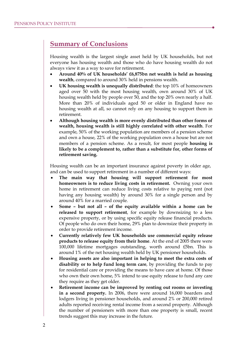# **Summary of Conclusions**

Housing wealth is the largest single asset held by UK households, but not everyone has housing wealth and those who do have housing wealth do not always view it as a way to save for retirement.

- · **Around 40% of UK households' £6,875bn net wealth is held as housing wealth**, compared to around 30% held in pensions wealth.
- · **UK housing wealth is unequally distributed**: the top 10% of homeowners aged over 50 with the most housing wealth, own around 30% of UK housing wealth held by people over 50, and the top 20% own nearly a half. More than 20% of individuals aged 50 or older in England have no housing wealth at all, so cannot rely on any housing to support them in retirement.
- · **Although housing wealth is more evenly distributed than other forms of wealth, housing wealth is still highly correlated with other wealth**. For example, 50% of the working population are members of a pension scheme and own a house, 22% of the working population own a house but are not members of a pension scheme. As a result, for most people **housing is likely to be a complement to, rather than a substitute for, other forms of retirement saving.**

Housing wealth can be an important insurance against poverty in older age, and can be used to support retirement in a number of different ways:

- · **The main way that housing will support retirement for most homeowners is to reduce living costs in retirement.** Owning your own home in retirement can reduce living costs relative to paying rent (not having any housing wealth) by around 30% for a single person and by around 40% for a married couple.
- · **Some – but not all – of the equity available within a home can be released to support retirement**, for example by downsizing to a less expensive property, or by using specific equity release financial products. Of people who do own their home, 29% plan to downsize their property in order to provide retirement income.
- · **Currently relatively few UK households use commercial equity release products to release equity from their home**. At the end of 2005 there were 100,000 lifetime mortgages outstanding, worth around £5bn. This is around 1% of the net housing wealth held by UK pensioner households.
- · **Housing assets are also important in helping to meet the extra costs of disability or to help fund long term care**, by providing the funds to pay for residential care or providing the means to have care at home. Of those who own their own home, 5% intend to use equity release to fund any care they require as they get older.
- · **Retirement income can be improved by renting out rooms or investing in a second property.** In 2006, there were around 16,000 boarders and lodgers living in pensioner households, and around 2% or 200,000 retired adults reported receiving rental income from a second property. Although the number of pensioners with more than one property is small, recent trends suggest this may increase in the future.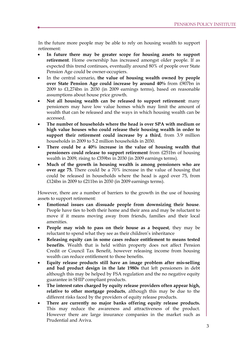In the future more people may be able to rely on housing wealth to support retirement:

- · **In future there may be greater scope for housing assets to support retirement**. Home ownership has increased amongst older people. If as expected this trend continues, eventually around 80% of people over State Pension Age could be owner-occupiers.
- · In the central scenario, **the value of housing wealth owned by people over State Pension Age could increase by around 40%** from £907bn in 2009 to £1,274bn in 2030 (in 2009 earnings terms), based on reasonable assumptions about house price growth.
- · **Not all housing wealth can be released to support retirement**: many pensioners may have low value homes which may limit the amount of wealth that can be released and the ways in which housing wealth can be accessed.
- · **The number of households where the head is over SPA with medium or high value houses who could release their housing wealth in order to support their retirement could increase by a third**, from 3.9 million households in 2009 to 5.2 million households in 2030.
- · **There could be a 40% increase in the value of housing wealth that pensioners could release to support retirement** from £251bn of housing wealth in 2009, rising to £359bn in 2030 (in 2009 earnings terms).
- · **Much of the growth in housing wealth is among pensioners who are over age 75.** There could be a 70% increase in the value of housing that could be released in households where the head is aged over 75, from £124bn in 2009 to £211bn in 2030 (in 2009 earnings terms).

However, there are a number of barriers to the growth in the use of housing assets to support retirement:

- · **Emotional issues can dissuade people from downsizing their house**. People have ties to both their home and their area and may be reluctant to move if it means moving away from friends, families and their local amenities.
- · **People may wish to pass on their house as a bequest**, they may be reluctant to spend what they see as their children's inheritance
- · **Releasing equity can in some cases reduce entitlement to means tested benefits**. Wealth that is held within property does not affect Pension Credit or Council Tax Benefit, however releasing income from housing wealth can reduce entitlement to those benefits.
- · **Equity release products still have an image problem after mis-selling and bad product design in the late 1980s** that left pensioners in debt although this may be helped by FSA regulation and the no negative equity guarantee in SHIP compliant products.
- · **The interest rates charged by equity release providers often appear high, relative to other mortgage products**, although this may be due to the different risks faced by the providers of equity release products.
- · **There are currently no major banks offering equity release products.** This may reduce the awareness and attractiveness of the product. However there are large insurance companies in the market such as Prudential and Aviva.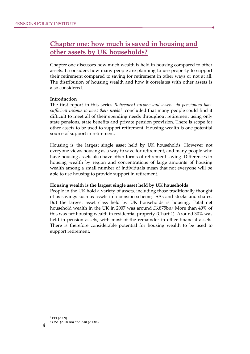# **Chapter one: how much is saved in housing and other assets by UK households?**

Chapter one discusses how much wealth is held in housing compared to other assets. It considers how many people are planning to use property to support their retirement compared to saving for retirement in other ways or not at all. The distribution of housing wealth and how it correlates with other assets is also considered.

#### **Introduction**

The first report in this series *Retirement income and assets: do pensioners have sufficient income to meet their needs?<sup>2</sup>* concluded that many people could find it difficult to meet all of their spending needs throughout retirement using only state pensions, state benefits and private pension provision. There is scope for other assets to be used to support retirement. Housing wealth is one potential source of support in retirement.

Housing is the largest single asset held by UK households. However not everyone views housing as a way to save for retirement, and many people who have housing assets also have other forms of retirement saving. Differences in housing wealth by region and concentrations of large amounts of housing wealth among a small number of individuals mean that not everyone will be able to use housing to provide support in retirement.

#### **Housing wealth is the largest single asset held by UK households**

People in the UK hold a variety of assets, including those traditionally thought of as savings such as assets in a pension scheme, ISAs and stocks and shares. But the largest asset class held by UK households is housing. Total net household wealth in the UK in 2007 was around £6,875bn.<sup>3</sup> More than 40% of this was net housing wealth in residential property (Chart 1). Around 30% was held in pension assets, with most of the remainder in other financial assets. There is therefore considerable potential for housing wealth to be used to support retirement.

<sup>2</sup> PPI (2009) <sup>3</sup> ONS (2008 BB) and ABI (2008a)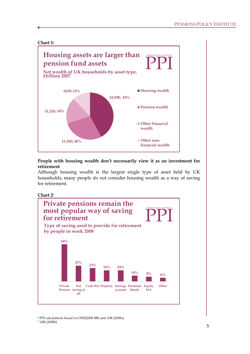

# **People with housing wealth don't necessarily view it as an investment for retirement**

Although housing wealth is the largest single type of asset held by UK households, many people do not consider housing wealth as a way of saving for retirement.





<sup>4</sup> PPI calculations based on ONS(2008 BB) and ABI (2008a) <sup>5</sup> ABI (2008b)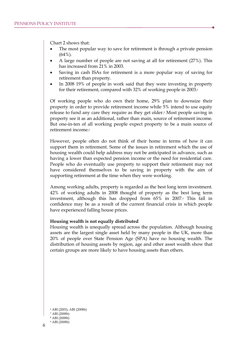Chart 2 shows that:

- The most popular way to save for retirement is through a private pension  $(64\%)$ .
- · A large number of people are not saving at all for retirement (27%). This has increased from 21% in 2003.
- Saving in cash ISAs for retirement is a more popular way of saving for retirement than property.
- In 2008 19% of people in work said that they were investing in property for their retirement, compared with 32% of working people in 2003.6

Of working people who do own their home, 29% plan to downsize their property in order to provide retirement income while 5% intend to use equity release to fund any care they require as they get older.**<sup>7</sup>** Most people saving in property see it as an additional, rather than main, source of retirement income. But one-in-ten of all working people expect property to be a main source of retirement income.<sup>8</sup>

However, people often do not think of their home in terms of how it can support them in retirement. Some of the issues in retirement which the use of housing wealth could help address may not be anticipated in advance, such as having a lower than expected pension income or the need for residential care. People who do eventually use property to support their retirement may not have considered themselves to be saving in property with the aim of supporting retirement at the time when they were working.

Among working adults, property is regarded as the best long term investment. 42% of working adults in 2008 thought of property as the best long term investment, although this has dropped from 65% in 2007.<sup>9</sup> This fall in confidence may be as a result of the current financial crisis in which people have experienced falling house prices.

#### **Housing wealth is not equally distributed**

Housing wealth is unequally spread across the population. Although housing assets are the largest single asset held by many people in the UK, more than 20% of people over State Pension Age (SPA) have no housing wealth. The distribution of housing assets by region, age and other asset wealth show that certain groups are more likely to have housing assets than others.

 ABI (2003), ABI (2008b) ABI (2008b) ABI (2008b) ABI (2008b)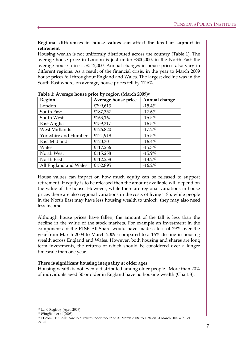# **Regional differences in house values can affect the level of support in retirement**

Housing wealth is not uniformly distributed across the country (Table 1). The average house price in London is just under £300,000, in the North East the average house price is £112,000. Annual changes in house prices also vary in different regions. As a result of the financial crisis, in the year to March 2009 house prices fell throughout England and Wales. The largest decline was in the South East where, on average, house prices fell by 17.6%.

| ־ר<br>Region          | - 77<br>Average house price | Annual change |
|-----------------------|-----------------------------|---------------|
| London                | £299,613                    | $-15.4%$      |
| South East            | £187,357                    | $-17.6%$      |
| South West            | £163,167                    | $-15.5%$      |
| East Anglia           | £159,317                    | $-16.5%$      |
| West Midlands         | £126,820                    | $-17.2%$      |
| Yorkshire and Humber  | £121,919                    | $-15.5%$      |
| East Midlands         | £120,301                    | $-16.4%$      |
| Wales                 | £117,266                    | $-15.3%$      |
| North West            | £115,258                    | $-15.9%$      |
| North East            | £112,258                    | $-13.2%$      |
| All England and Wales | £152,895                    | $-16.2%$      |

**Table 1: Average house price by region (March 2009)<sup>10</sup>**

House values can impact on how much equity can be released to support retirement. If equity is to be released then the amount available will depend on the value of the house. However, while there are regional variations in house prices there are also regional variations in the costs of living.<sup>11</sup> So, while people in the North East may have less housing wealth to unlock, they may also need less income.

Although house prices have fallen, the amount of the fall is less than the decline in the value of the stock markets. For example an investment in the components of the FTSE All-Share would have made a loss of 29% over the year from March 2008 to March 2009<sup>12</sup> compared to a 16% decline in housing wealth across England and Wales. However, both housing and shares are long term investments, the returns of which should be considered over a longer timescale than one year.

#### **There is significant housing inequality at older ages**

Housing wealth is not evenly distributed among older people. More than 20% of individuals aged 50 or older in England have no housing wealth (Chart 3).

<sup>11</sup> Wingfield et al (2005)

<sup>12</sup> FT.com FTSE All Share total return index 3550.2 on 31 March 2008, 2508.94 on 31 March 2009 a fall of 29.3%.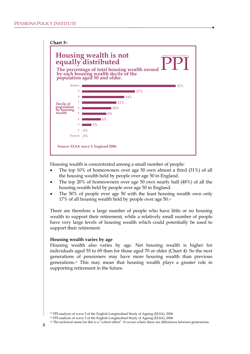

Housing wealth is concentrated among a small number of people:

- The top 10% of homeowners over age 50 own almost a third (31%) of all the housing wealth held by people over age 50 in England.
- The top 20% of homeowners over age 50 own nearly half (48%) of all the housing wealth held by people over age 50 in England.
- The 50% of people over age 50 with the least housing wealth own only 17% of all housing wealth held by people over age 50.<sup>14</sup>

There are therefore a large number of people who have little or no housing wealth to support their retirement, while a relatively small number of people have very large levels of housing wealth which could potentially be used to support their retirement.

#### **Housing wealth varies by age**

Housing wealth also varies by age. Net housing wealth is higher for individuals aged 55 to 69 than for those aged 70 or older (Chart 4). So the next generations of pensioners may have more housing wealth than previous generations.<sup>15</sup> This may mean that housing wealth plays a greater role in supporting retirement in the future.

<sup>13</sup> PPI analysis of wave 3 of the English Longitudinal Study of Ageing (ELSA), 2006

<sup>14</sup> PPI analysis of wave 3 of the English Longitudinal Study of Ageing (ELSA), 2006

<sup>&</sup>lt;sup>15</sup> The technical name for this is a "cohort effect". It occurs where there are differences between generations.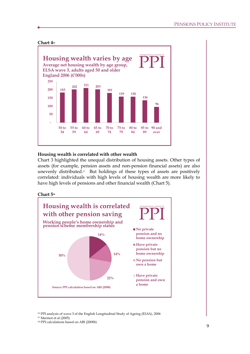

# **Housing wealth is correlated with other wealth**

Chart 3 highlighted the unequal distribution of housing assets. Other types of assets (for example, pension assets and non-pension financial assets) are also unevenly distributed.17 But holdings of these types of assets are positively correlated: individuals with high levels of housing wealth are more likely to have high levels of pensions and other financial wealth (Chart 5).





<sup>16</sup> PPI analysis of wave 3 of the English Longitudinal Study of Ageing (ELSA), 2006

<sup>17</sup> Marmot et al (2005)

<sup>18</sup> PPI calculations based on ABI (2008b)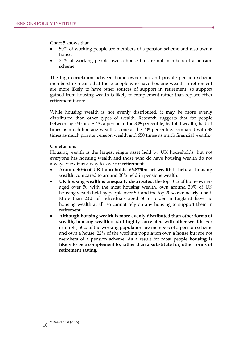Chart 5 shows that:

- · 50% of working people are members of a pension scheme and also own a house.
- · 22% of working people own a house but are not members of a pension scheme.

The high correlation between home ownership and private pension scheme membership means that those people who have housing wealth in retirement are more likely to have other sources of support in retirement, so support gained from housing wealth is likely to complement rather than replace other retirement income.

While housing wealth is not evenly distributed, it may be more evenly distributed than other types of wealth. Research suggests that for people between age 50 and SPA, a person at the 80<sup>th</sup> percentile, by total wealth, had 11 times as much housing wealth as one at the 20<sup>th</sup> percentile, compared with 38 times as much private pension wealth and 650 times as much financial wealth.<sup>19</sup>

#### **Conclusions**

Housing wealth is the largest single asset held by UK households, but not everyone has housing wealth and those who do have housing wealth do not always view it as a way to save for retirement.

- · **Around 40% of UK households' £6,875bn net wealth is held as housing wealth**, compared to around 30% held in pensions wealth.
- · **UK housing wealth is unequally distributed**: the top 10% of homeowners aged over 50 with the most housing wealth, own around 30% of UK housing wealth held by people over 50, and the top 20% own nearly a half. More than 20% of individuals aged 50 or older in England have no housing wealth at all, so cannot rely on any housing to support them in retirement.
- · **Although housing wealth is more evenly distributed than other forms of wealth, housing wealth is still highly correlated with other wealth**. For example, 50% of the working population are members of a pension scheme and own a house, 22% of the working population own a house but are not members of a pension scheme. As a result for most people **housing is likely to be a complement to, rather than a substitute for, other forms of retirement saving.**

<sup>19</sup> Banks et al (2005)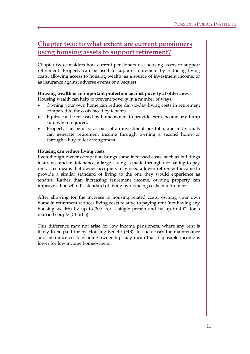# **Chapter two: to what extent are current pensioners using housing assets to support retirement?**

Chapter two considers how current pensioners use housing assets to support retirement. Property can be used to support retirement by reducing living costs, allowing access to housing wealth, as a source of investment income, or as insurance against adverse events or a bequest.

# **Housing wealth is an important protection against poverty at older ages**

Housing wealth can help to prevent poverty in a number of ways:

- · Owning your own home can reduce day-to-day living costs in retirement compared to the costs faced by tenants.
- Equity can be released by homeowners to provide extra income or a lump sum when required.
- Property can be used as part of an investment portfolio, and individuals can generate retirement income through owning a second home or through a buy-to-let arrangement.

# **Housing can reduce living costs**

Even though owner occupation brings some increased costs, such as buildings insurance and maintenance, a large saving is made through not having to pay rent. This means that owner-occupiers may need a lower retirement income to provide a similar standard of living to the one they would experience as tenants. Rather than increasing retirement income, owning property can improve a household's standard of living by reducing costs in retirement.

After allowing for the increase in housing related costs, owning your own home in retirement reduces living costs relative to paying rent (not having any housing wealth) by up to 30% for a single person and by up to 40% for a married couple (Chart 6).

This difference may not arise for low income pensioners, where any rent is likely to be paid for by Housing Benefit (HB). In such cases the maintenance and insurance costs of home ownership may mean that disposable income is lower for low income homeowners.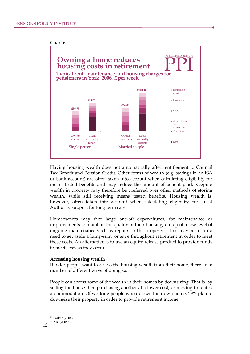

Having housing wealth does not automatically affect entitlement to Council Tax Benefit and Pension Credit. Other forms of wealth (e.g. savings in an ISA or bank account) are often taken into account when calculating eligibility for means-tested benefits and may reduce the amount of benefit paid. Keeping wealth in property may therefore be preferred over other methods of storing wealth, while still receiving means tested benefits. Housing wealth is, however, often taken into account when calculating eligibility for Local Authority support for long term care.

Homeowners may face large one-off expenditures, for maintenance or improvements to maintain the quality of their housing, on top of a low level of ongoing maintenance such as repairs to the property. This may result in a need to set aside a lump-sum, or save throughout retirement in order to meet these costs. An alternative is to use an equity release product to provide funds to meet costs as they occur.

#### **Accessing housing wealth**

If older people want to access the housing wealth from their home, there are a number of different ways of doing so.

People can access some of the wealth in their homes by downsizing. That is, by selling the house then purchasing another at a lower cost, or moving to rented accommodation. Of working people who do own their own home, 29% plan to downsize their property in order to provide retirement income.<sup>21</sup>

12 <sup>20</sup> Parker (2006) <sup>21</sup> ABI (2008b)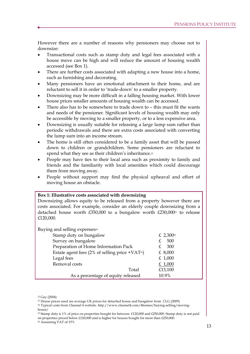However there are a number of reasons why pensioners may choose not to downsize:

- · Transactional costs such as stamp duty and legal fees associated with a house move can be high and will reduce the amount of housing wealth accessed (see Box 1).
- There are further costs associated with adapting a new house into a home, such as furnishing and decorating.
- Many pensioners have an emotional attachment to their home, and are reluctant to sell it in order to 'trade-down' to a smaller property.
- · Downsizing may be more difficult in a falling housing market. With lower house prices smaller amounts of housing wealth can be accessed.
- There also has to be somewhere to trade down to this must fit the wants and needs of the pensioner. Significant levels of housing wealth may only be accessible by moving to a smaller property, or to a less expensive area.
- · Downsizing is usually suitable for releasing a large lump sum rather than periodic withdrawals and there are extra costs associated with converting the lump sum into an income stream.
- The home is still often considered to be a family asset that will be passed down to children or grandchildren. Some pensioners are reluctant to spend what they see as their children's inheritance.<sup>22</sup>
- People may have ties to their local area such as proximity to family and friends and the familiarity with local amenities which could discourage them from moving away.
- People without support may find the physical upheaval and effort of moving house an obstacle.

#### **Box 1: Illustrative costs associated with downsizing**

Downsizing allows equity to be released from a property however there are costs associated. For example, consider an elderly couple downsizing from a detached house worth  $£350,000$  to a bungalow worth  $£230,000$ <sup>23</sup> to release £120,000.

| Buying and selling expenses <sup>24</sup>                    |                       |
|--------------------------------------------------------------|-----------------------|
| Stamp duty on bungalow                                       | £ 2,300 <sup>25</sup> |
| Survey on bungalow                                           | 500                   |
| Preparation of Home Information Pack                         | 300                   |
| Estate agent fees (2% of selling price + VAT <sup>26</sup> ) | £ $8,000$             |
| Legal fees                                                   | £ $1,000$             |
| Removal costs                                                | £ $1,000$             |
| Total                                                        | £13,100               |
| As a percentage of equity released                           | 10.9%                 |

<sup>22</sup> Gay (2004)

- <sup>23</sup> House prices used are average UK prices for detached house and bungalow from CLG (2009)
- <sup>24</sup> Typical costs from Channel 4 website. http://www.channel4.com/4homes/buying-selling/movinghouse/
- <sup>25</sup> Stamp duty is 1% of price on properties bought for between £120,000 and £250,000. Stamp duty is not paid on properties priced below £120,000 and is higher for houses bought for more than £250,000.

<sup>26</sup> Assuming VAT of 15%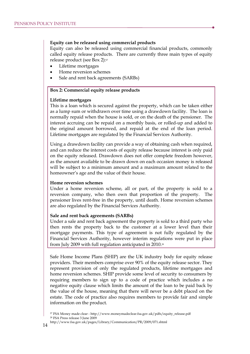#### **Equity can be released using commercial products**

Equity can also be released using commercial financial products, commonly called equity release products. There are currently three main types of equity release product (see Box 2):<sup>27</sup>

- Lifetime mortgages
- Home reversion schemes
- Sale and rent back agreements (SARBs)

# **Box 2: Commercial equity release products**

#### **Lifetime mortgages**

This is a loan which is secured against the property, which can be taken either as a lump sum or withdrawn over time using a drawdown facility. The loan is normally repaid when the house is sold, or on the death of the pensioner. The interest accruing can be repaid on a monthly basis, or rolled-up and added to the original amount borrowed, and repaid at the end of the loan period. Lifetime mortgages are regulated by the Financial Services Authority.

Using a drawdown facility can provide a way of obtaining cash when required, and can reduce the interest costs of equity release because interest is only paid on the equity released. Drawdown does not offer complete freedom however, as the amount available to be drawn down on each occasion money is released will be subject to a minimum amount and a maximum amount related to the homeowner's age and the value of their house.

#### **Home reversion schemes**

Under a home reversion scheme, all or part, of the property is sold to a reversion company, who then own that proportion of the property. The pensioner lives rent-free in the property, until death. Home reversion schemes are also regulated by the Financial Services Authority.

#### **Sale and rent back agreements (SARBs)**

Under a sale and rent back agreement the property is sold to a third party who then rents the property back to the customer at a lower level than their mortgage payments. This type of agreement is not fully regulated by the Financial Services Authority, however interim regulations were put in place from July 2009 with full regulation anticipated in 2010.<sup>28</sup>

Safe Home Income Plans (SHIP) are the UK industry body for equity release providers. Their members comprise over 90% of the equity release sector. They represent provision of only the regulated products, lifetime mortgages and home reversion schemes. SHIP provide some level of security to consumers by requiring members to sign up to a code of practice which includes a no negative equity clause which limits the amount of the loan to be paid back by the value of the house, meaning that there will never be a debt placed on the estate. The code of practice also requires members to provide fair and simple information on the product.

<sup>27</sup> FSA Money made clear - http://www.moneymadeclear.fsa.gov.uk/pdfs/equity\_release.pdf <sup>28</sup> FSA Press release 3 June 2009

http://www.fsa.gov.uk/pages/Library/Communication/PR/2009/071.shtml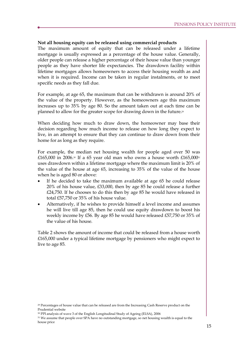# **Not all housing equity can be released using commercial products**

The maximum amount of equity that can be released under a lifetime mortgage is usually expressed as a percentage of the house value. Generally, older people can release a higher percentage of their house value than younger people as they have shorter life expectancies. The drawdown facility within lifetime mortgages allows homeowners to access their housing wealth as and when it is required. Income can be taken in regular instalments, or to meet specific needs as they fall due.

For example, at age 65, the maximum that can be withdrawn is around 20% of the value of the property. However, as the homeowners age this maximum increases up to 35% by age 80. So the amount taken out at each time can be planned to allow for the greater scope for drawing down in the future.<sup>29</sup>

When deciding how much to draw down, the homeowner may base their decision regarding how much income to release on how long they expect to live, in an attempt to ensure that they can continue to draw down from their home for as long as they require.

For example, the median net housing wealth for people aged over 50 was £165,000 in 2006.<sup>30</sup> If a 65 year old man who owns a house worth £165,000<sup>31</sup> uses drawdown within a lifetime mortgage where the maximum limit is 20% of the value of the house at age 65, increasing to 35% of the value of the house when he is aged 80 or above:

- If he decided to take the maximum available at age 65 he could release 20% of his house value, £33,000, then by age 85 he could release a further £24,750. If he chooses to do this then by age 85 he would have released in total £57,750 or 35% of his house value.
- Alternatively, if he wishes to provide himself a level income and assumes he will live till age 85, then he could use equity drawdown to boost his weekly income by £56. By age 85 he would have released £57,750 or 35% of the value of his house.

Table 2 shows the amount of income that could be released from a house worth £165,000 under a typical lifetime mortgage by pensioners who might expect to live to age 85.

<sup>29</sup> Percentages of house value that can be released are from the Increasing Cash Reserve product on the Prudential website

<sup>30</sup> PPI analysis of wave 3 of the English Longitudinal Study of Ageing (ELSA), 2006

<sup>31</sup> We assume that people over SPA have no outstanding mortgage, so net housing wealth is equal to the house price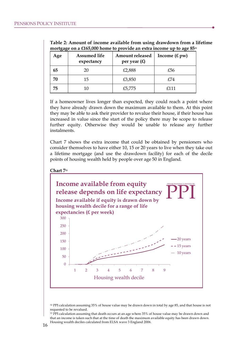| $\sigma$ $\sigma$<br>Age | <b>Assumed life</b><br>expectancy | <b>Amount released</b><br>per year $(E)$ | Income $(f, pw)$ |
|--------------------------|-----------------------------------|------------------------------------------|------------------|
| 65                       | 20                                | £2,888                                   | £56              |
| 70                       | 15                                | £3,850                                   | £74              |
| 75                       |                                   | £5,775                                   | £111             |

**Table 2: Amount of income available from using drawdown from a lifetime mortgage on a £165,000 home to provide an extra income up to age 85<sup>32</sup>**

If a homeowner lives longer than expected, they could reach a point where they have already drawn down the maximum available to them. At this point they may be able to ask their provider to revalue their house, if their house has increased in value since the start of the policy there may be scope to release further equity. Otherwise they would be unable to release any further instalments.

Chart 7 shows the extra income that could be obtained by pensioners who consider themselves to have either 10, 15 or 20 years to live when they take out a lifetime mortgage (and use the drawdown facility) for each of the decile points of housing wealth held by people over age 50 in England.

#### **Chart 7<sup>33</sup>**



<sup>32</sup> PPI calculation assuming 35% of house value may be drawn down in total by age 85, and that house is not requested to be revalued.

<sup>&</sup>lt;sup>33</sup> PPI calculation assuming that death occurs at an age where 35% of house value may be drawn down and that an income is taken such that at the time of death the maximum available equity has been drawn down. Housing wealth deciles calculated from ELSA wave 3 England 2006.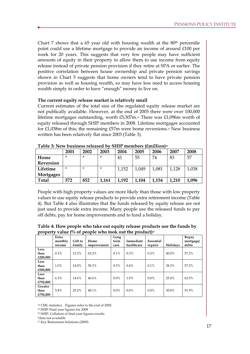Chart 7 shows that a 65 year old with housing wealth at the 80<sup>th</sup> percentile point could use a lifetime mortgage to provide an income of around £100 per week for 20 years. This suggests that very few people may have sufficient amounts of equity in their property to allow them to use income from equity release instead of private pension provision if they retire at SPA or earlier. The positive correlation between house ownership and private pension savings shown in Chart 5 suggests that home owners tend to have private pension provision as well as housing wealth, so may have less need to access housing wealth simply in order to have "enough" money to live on.

### **The current equity release market is relatively small**

Current estimates of the total size of the regulated equity release market are not publically available. However, at the end of 2005 there were over 100,000 lifetime mortgages outstanding, worth £5,307m.<sup>34</sup> There was £1,096m worth of equity released through SHIP members in 2008. Lifetime mortgages accounted for £1,038m of this; the remaining £57m were home reversions.<sup>35</sup> New business written has been relatively flat since 2003 (Table 3).

| ----------       |        |         |         |       |       |       |       |       |
|------------------|--------|---------|---------|-------|-------|-------|-------|-------|
|                  | 2001   | 2002    | 2003    | 2004  | 2005  | 2006  | 2007  | 2008  |
| Home             | $\ast$ | $\star$ | *       | 41    | 55    | 74    | 83    | 57    |
| <b>Reversion</b> |        |         |         |       |       |       |       |       |
| Lifetime         | $\ast$ | $\star$ | $\star$ | 1,152 | 1,049 | 1,081 | 1,128 | 1,038 |
| Mortgages        |        |         |         |       |       |       |       |       |
| Total            | 572    | 852     | 1,161   | 1,192 | .104  | .154  | 1,210 | 1,096 |

**Table 3: New business released by SHIP members (£million)<sup>36</sup>**

People with high property values are more likely than those with low property values to use equity release products to provide extra retirement income (Table 4). But Table 4 also illustrates that the funds released by equity release are not just used to provide extra income. Many people use the released funds to pay off debts, pay for home improvements and to fund a holiday.

**Table 4: How people who take out equity release products use the funds by property value (% of people who took out the product)<sup>37</sup>**

| ΞЕ.                         | Extra<br>monthly<br>income | Gift to<br>family | Home<br>improvement | Long<br>term<br>care | Immediate<br>healthcare | Essential<br>repairs | Holidays | Repay<br>mortgage/<br>debts |
|-----------------------------|----------------------------|-------------------|---------------------|----------------------|-------------------------|----------------------|----------|-----------------------------|
| Less<br>than<br>£200,000    | 0.3%                       | 13.2%             | 63.2%               | 0.1%                 | 0.3%                    | 0.2%                 | 40.0%    | 57.2%                       |
| Less<br>than<br>£500,000    | 1.0%                       | 14.8%             | 58.3%               | 0.3%                 | 0.4%                    | 0.1%                 | 38.3%    | 57.2%                       |
| Less<br>than<br>£750,000    | 6.3%                       | 14.6%             | 40.6%               | $0.0\%$              | 1.0%                    | $0.0\%$              | 25.0%    | 62.5%                       |
| Greater<br>than<br>£750.000 | 5.8%                       | 25.0%             | 48.1%               | $0.0\%$              | $0.0\%$                 | $0.0\%$              | 30.8%    | 51.9%                       |

<sup>34</sup> CML statistics. Figures refer to the end of 2005.

<sup>35</sup> SHIP Final year figures for 2008

<sup>36</sup> SHIP, Collation of final year figures results

<sup>\*</sup>data not available

<sup>37</sup> Key Retirement Solutions (2009)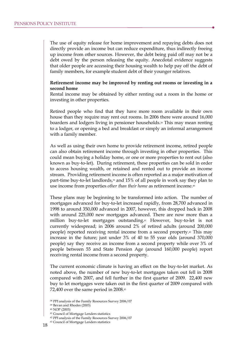The use of equity release for home improvement and repaying debts does not directly provide an income but can reduce expenditure, thus indirectly freeing up income from other sources. However, the debt being paid off may not be a debt owed by the person releasing the equity. Anecdotal evidence suggests that older people are accessing their housing wealth to help pay off the debt of family members, for example student debt of their younger relatives.

### **Retirement income may be improved by renting out rooms or investing in a second home**

Rental income may be obtained by either renting out a room in the home or investing in other properties.

Retired people who find that they have more room available in their own house than they require may rent out rooms. In 2006 there were around 16,000 boarders and lodgers living in pensioner households.<sup>38</sup> This may mean renting to a lodger, or opening a bed and breakfast or simply an informal arrangement with a family member.

As well as using their own home to provide retirement income, retired people can also obtain retirement income through investing in other properties. This could mean buying a holiday home, or one or more properties to rent out (also known as buy-to-let). During retirement, these properties can be sold in order to access housing wealth, or retained and rented out to provide an income stream. Providing retirement income is often reported as a major motivation of part-time buy-to-let landlords,<sup>39</sup> and 15% of all people in work say they plan to use income from properties *other than their home* as retirement income.<sup>40</sup>

These plans may be beginning to be transformed into action. The number of mortgages advanced for buy-to-let increased rapidly, from 28,700 advanced in 1998 to around 350,000 advanced in 2007, however, this dropped back in 2008 with around 225,000 new mortgages advanced. There are now more than a million buy-to-let mortgages outstanding.<sup>41</sup> However, buy-to-let is not currently widespread; in 2006 around 2% of retired adults (around 200,000 people) reported receiving rental income from a second property.<sup>42</sup> This may increase in the future; just under 3% of 40 to 55 year olds (around 370,000 people) say they receive an income from a second property while over 3% of people between 55 and State Pension Age (around 160,000 people) report receiving rental income from a second property.

The current economic climate is having an effect on the buy-to-let market. As noted above, the number of new buy-to-let mortgages taken out fell in 2008 compared with 2007, and fell further in the first quarter of 2009. 22,400 new buy to let mortgages were taken out in the first quarter of 2009 compared with 72,400 over the same period in 2008.<sup>43</sup>

<sup>38</sup> PPI analysis of the Family Resources Survey 2006/07

<sup>39</sup> Bevan and Rhodes (2003)

<sup>40</sup> NOP (2003)

<sup>41</sup> Council of Mortgage Lenders statistics

<sup>42</sup> PPI analysis of the Family Resources Survey 2006/07

<sup>43</sup> Council of Mortgage Lenders statistics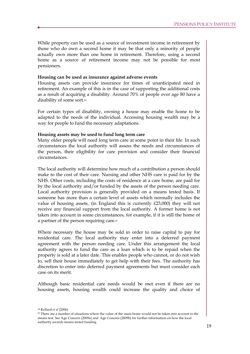While property can be used as a source of investment income in retirement by those who do own a second home it may be that only a minority of people actually own more than one home in retirement. Therefore, using a second home as a source of retirement income may not be possible for most pensioners.

### **Housing can be used as insurance against adverse events**

Housing assets can provide insurance for times of unanticipated need in retirement. An example of this is in the case of supporting the additional costs as a result of acquiring a disability. Around 70% of people over age 80 have a disability of some sort.<sup>44</sup>

For certain types of disability, owning a house may enable the home to be adapted to the needs of the individual. Accessing housing wealth may be a way for people to fund the necessary adaptations.

### **Housing assets may be used to fund long term care**

Many older people will need long term care at some point in their life. In such circumstances the local authority will assess the needs and circumstances of the person, their eligibility for care provision and consider their financial circumstances.

The local authority will determine how much of a contribution a person should make to the cost of their care. Nursing and other NHS care is paid for by the NHS. Other costs, including the costs of residence at a care home, are paid for by the local authority and/or funded by the assets of the person needing care. Local authority provision is generally provided on a means tested basis. If someone has more than a certain level of assets which normally includes the value of housing assets, (in England this is currently £23,000) they will not receive any financial support from the local authority. A former home is not taken into account in some circumstances, for example, if it is still the home of a partner of the person requiring care.<sup>45</sup>

Where necessary the house may be sold in order to raise capital to pay for residential care. The local authority may enter into a deferred payment agreement with the person needing care. Under this arrangement the local authority agrees to fund the care as a loan which is to be repaid when the property is sold at a later date. This enables people who cannot, or do not wish to, sell their house immediately to get help with their fees. The authority has discretion to enter into deferred payment agreements but must consider each case on its merit.

Although basic residential care needs would be met even if there are no housing assets, housing wealth could increase the quality and choice of

<sup>44</sup> Kellard *et al* (2006)

<sup>45</sup> There are a number of situations where the value of the main home would not be taken into account in the means test. See Age Concern (2009a) and Age Concern (2009b) for further information on how the local authority awards means tested funding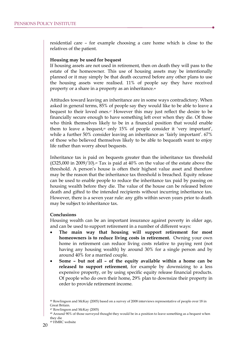residential care – for example choosing a care home which is close to the relatives of the patient.

#### **Housing may be used for bequest**

If housing assets are not used in retirement, then on death they will pass to the estate of the homeowner. This use of housing assets may be intentionally planned or it may simply be that death occurred before any other plans to use the housing assets were realised. 11% of people say they have received property or a share in a property as an inheritance.<sup>46</sup>

Attitudes toward leaving an inheritance are in some ways contradictory. When asked in general terms, 85% of people say they would like to be able to leave a bequest to their loved ones.<sup>47</sup> However this may just reflect the desire to be financially secure enough to have something left over when they die. Of those who think themselves likely to be in a financial position that would enable them to leave a bequest,<sup>48</sup> only 15% of people consider it 'very important', while a further 50% consider leaving an inheritance as 'fairly important'. 67% of those who believed themselves likely to be able to bequeath want to enjoy life rather than worry about bequests.

Inheritance tax is paid on bequests greater than the inheritance tax threshold  $(E325,000 \text{ in } 2009/10).$ <sup>49</sup> Tax is paid at 40% on the value of the estate above the threshold. A person's house is often their highest value asset and therefore may be the reason that the inheritance tax threshold is breached. Equity release can be used to enable people to reduce the inheritance tax paid by passing on housing wealth before they die. The value of the house can be released before death and gifted to the intended recipients without incurring inheritance tax. However, there is a seven year rule: any gifts within seven years prior to death may be subject to inheritance tax.

#### **Conclusions**

Housing wealth can be an important insurance against poverty in older age, and can be used to support retirement in a number of different ways:

- · **The main way that housing will support retirement for most homeowners is to reduce living costs in retirement.** Owning your own home in retirement can reduce living costs relative to paying rent (not having any housing wealth) by around 30% for a single person and by around 40% for a married couple.
- · **Some – but not all – of the equity available within a home can be released to support retirement**, for example by downsizing to a less expensive property, or by using specific equity release financial products. Of people who do own their home, 29% plan to downsize their property in order to provide retirement income.

<sup>46</sup> Rowlingson and McKay (2005) based on a survey of 2008 interviews representative of people over 18 in Great Britain.

<sup>47</sup> Rowlingson and McKay (2005)

<sup>&</sup>lt;sup>48</sup> Around 90% of those surveyed thought they would be in a position to leave something as a bequest when they die

<sup>49</sup> HMRC website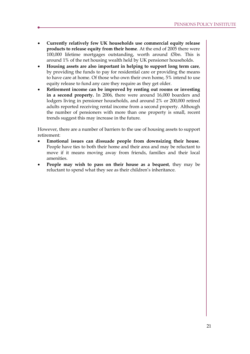- · **Currently relatively few UK households use commercial equity release products to release equity from their home**. At the end of 2005 there were 100,000 lifetime mortgages outstanding, worth around £5bn. This is around 1% of the net housing wealth held by UK pensioner households.
- · **Housing assets are also important in helping to support long term care**, by providing the funds to pay for residential care or providing the means to have care at home. Of those who own their own home, 5% intend to use equity release to fund any care they require as they get older.
- · **Retirement income can be improved by renting out rooms or investing in a second property.** In 2006, there were around 16,000 boarders and lodgers living in pensioner households, and around 2% or 200,000 retired adults reported receiving rental income from a second property. Although the number of pensioners with more than one property is small, recent trends suggest this may increase in the future.

However, there are a number of barriers to the use of housing assets to support retirement:

- · **Emotional issues can dissuade people from downsizing their house**. People have ties to both their home and their area and may be reluctant to move if it means moving away from friends, families and their local amenities.
- · **People may wish to pass on their house as a bequest**, they may be reluctant to spend what they see as their children's inheritance.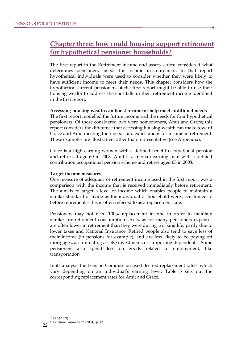# **Chapter three: how could housing support retirement for hypothetical pensioner households?**

The first report in the Retirement income and assets series<sup>50</sup> considered what determines pensioners' needs for income in retirement. In that report hypothetical individuals were used to consider whether they were likely to have sufficient income to meet their needs. This chapter considers how the hypothetical current pensioners of the first report might be able to use their housing wealth to address the shortfalls in their retirement income identified in the first report.

### **Accessing housing wealth can boost income or help meet additional needs**

The first report modelled the future income and the needs for four hypothetical pensioners. Of those considered two were homeowners, Amit and Grace; this report considers the difference that accessing housing wealth can make toward Grace and Amit meeting their needs and expectations for income in retirement. These examples are illustrative rather than representative (see Appendix).

Grace is a high earning woman with a defined benefit occupational pension and retires at age 60 in 2008. Amit is a median earning man with a defined contribution occupational pension scheme and retires aged 65 in 2008.

#### **Target income measures**

One measure of adequacy of retirement income used in the first report was a comparison with the income that is received immediately before retirement. The aim is to target a level of income which enables people to maintain a similar standard of living as the individual or household were accustomed to before retirement – this is often referred to as a replacement rate.

Pensioners may not need 100% replacement income in order to maintain similar pre-retirement consumption levels, as for many pensioners expenses are often lower in retirement than they were during working life, partly due to lower taxes and National Insurance. Retired people also tend to save less of their income (in pensions for example), and are less likely to be paying off mortgages, accumulating assets/investments or supporting dependents. Some pensioners also spend less on goods related to employment, like transportation.

In its analysis the Pension Commission used desired replacement rates<sup>51</sup> which vary depending on an individual's earning level. Table 5 sets out the corresponding replacement rates for Amit and Grace.

<sup>50</sup> PPI (2009) <sup>51</sup> Pension Commission (2004) p143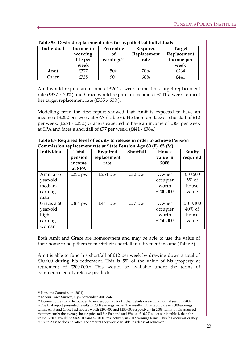| Individual | Income in<br>working<br>life per<br>week | Percentile<br>οf<br>earnings <sup>53</sup> | Required<br>Replacement<br>rate | <b>Target</b><br>Replacement<br>income per<br>week |
|------------|------------------------------------------|--------------------------------------------|---------------------------------|----------------------------------------------------|
| Amit       | £377                                     | 50 <sup>th</sup>                           | 70%                             | £264                                               |
| Grace      | £735                                     | 90 <sup>th</sup>                           | 60%                             | £441                                               |

**Table 5:<sup>52</sup> Desired replacement rates for hypothetical individuals** 

Amit would require an income of £264 a week to meet his target replacement rate ( $\text{\textsterling}377 \times 70\%$ ) and Grace would require an income of  $\text{\textsterling}441$  a week to meet her target replacement rate (£735 x 60%).

Modelling from the first report showed that Amit is expected to have an income of £252 per week at SPA (Table 6). He therefore faces a shortfall of £12 per week. (£264 - £252.) Grace is expected to have an income of £364 per week at SPA and faces a shortfall of £77 per week. (£441 - £364.)

| Table 6:54 Required level of equity to release in order to achieve Pension |
|----------------------------------------------------------------------------|
| Commission replacement rate at State Pension Age 60 (F), 65 (M)            |

| Individual                                           | Total<br>pension<br>income<br>at SPA | Required<br>replacement<br>rate | Shortfall | House<br>value in<br>2008              | Equity<br>required                      |
|------------------------------------------------------|--------------------------------------|---------------------------------|-----------|----------------------------------------|-----------------------------------------|
| Amit: a 65<br>year-old<br>median-<br>earning<br>man  | £252 pw                              | £264 pw                         | $£12$ pw  | Owner<br>occupier<br>worth<br>£200,000 | £10,600<br>$5\%$ of<br>house<br>value   |
| Grace: a 60<br>year-old<br>high-<br>earning<br>woman | £364 pw                              | £441 pw                         | £77 pw    | Owner<br>occupier<br>worth<br>£250,000 | £100,100<br>$40\%$ of<br>house<br>value |

Both Amit and Grace are homeowners and may be able to use the value of their home to help them to meet their shortfall in retirement income (Table 6).

Amit is able to fund his shortfall of £12 per week by drawing down a total of £10,600 during his retirement. This is 5% of the value of his property at retirement of £200,000.<sup>55</sup> This would be available under the terms of commercial equity release products.

<sup>52</sup> Pensions Commission (2004)

<sup>53</sup> Labour Force Survey July – September 2008 data

<sup>54</sup> Income figures in table rounded to nearest pound, for further details on each individual see PPI (2009)

<sup>55</sup> The first report presented results in 2008 earnings terms. The results in this report are in 2009 earnings terms. Amit and Grace had houses worth £200,000 and £250,000 respectively in 2008 terms. If it is assumed that they suffer the average house price fall for England and Wales of 16.2% as set out in table 1, then the value in 2009 would be £168,000 and £210,000 respectively in 2009 earnings terms. This fall occurs after they retire in 2008 so does not affect the amount they would be able to release at retirement.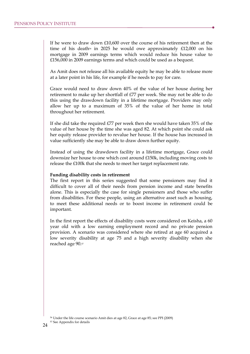If he were to draw down £10,600 over the course of his retirement then at the time of his death<sup>56</sup> in 2025 he would owe approximately  $£12,000$  on his mortgage in 2009 earnings terms which would reduce his house value to £156,000 in 2009 earnings terms and which could be used as a bequest.

As Amit does not release all his available equity he may be able to release more at a later point in his life, for example if he needs to pay for care.

Grace would need to draw down 40% of the value of her house during her retirement to make up her shortfall of £77 per week. She may not be able to do this using the drawdown facility in a lifetime mortgage. Providers may only allow her up to a maximum of 35% of the value of her home in total throughout her retirement.

If she did take the required £77 per week then she would have taken 35% of the value of her house by the time she was aged 82. At which point she could ask her equity release provider to revalue her house. If the house has increased in value sufficiently she may be able to draw down further equity.

Instead of using the drawdown facility in a lifetime mortgage, Grace could downsize her house to one which cost around £150k, including moving costs to release the £100k that she needs to meet her target replacement rate.

#### **Funding disability costs in retirement**

The first report in this series suggested that some pensioners may find it difficult to cover all of their needs from pension income and state benefits alone. This is especially the case for single pensioners and those who suffer from disabilities. For these people, using an alternative asset such as housing, to meet these additional needs or to boost income in retirement could be important.

In the first report the effects of disability costs were considered on Keisha, a 60 year old with a low earning employment record and no private pension provision. A scenario was considered where she retired at age 60 acquired a low severity disability at age 75 and a high severity disability when she reached age 90.<sup>57</sup>

<sup>56</sup> Under the life course scenario Amit dies at age 82, Grace at age 85; see PPI (2009)

<sup>57</sup> See Appendix for details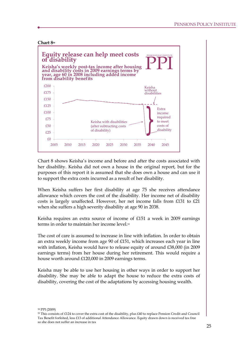

Chart 8 shows Keisha's income and before and after the costs associated with her disability. Keisha did not own a house in the original report, but for the purposes of this report it is assumed that she does own a house and can use it to support the extra costs incurred as a result of her disability.

When Keisha suffers her first disability at age 75 she receives attendance allowance which covers the cost of the disability. Her income net of disability costs is largely unaffected. However, her net income falls from £131 to £21 when she suffers a high severity disability at age 90 in 2038.

Keisha requires an extra source of income of £151 a week in 2009 earnings terms in order to maintain her income level  $59$ 

The cost of care is assumed to increase in line with inflation. In order to obtain an extra weekly income from age 90 of £151, which increases each year in line with inflation, Keisha would have to release equity of around £38,000 (in 2009 earnings terms) from her house during her retirement. This would require a house worth around £120,000 in 2009 earnings terms.

Keisha may be able to use her housing in other ways in order to support her disability. She may be able to adapt the house to reduce the extra costs of disability, covering the cost of the adaptations by accessing housing wealth.

<sup>58</sup> PPI (2009)

 $59$  This consists of £124 to cover the extra cost of the disability, plus £40 to replace Pension Credit and Council Tax Benefit forfeited, less £13 of additional Attendance Allowance. Equity drawn down is received tax free so she does not suffer an increase in tax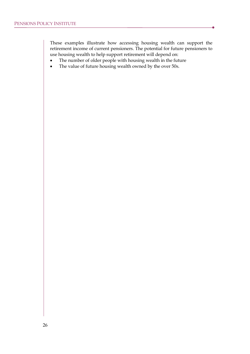These examples illustrate how accessing housing wealth can support the retirement income of current pensioners. The potential for future pensioners to use housing wealth to help support retirement will depend on:

- The number of older people with housing wealth in the future
- · The value of future housing wealth owned by the over 50s.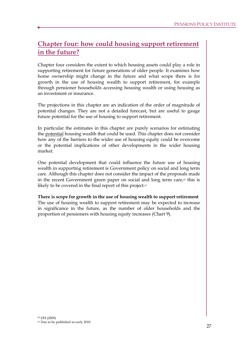# **Chapter four: how could housing support retirement in the future?**

Chapter four considers the extent to which housing assets could play a role in supporting retirement for future generations of older people. It examines how home ownership might change in the future and what scope there is for growth in the use of housing wealth to support retirement, for example through pensioner households accessing housing wealth or using housing as an investment or insurance.

The projections in this chapter are an indication of the order of magnitude of potential changes. They are not a detailed forecast, but are useful to gauge future potential for the use of housing to support retirement.

In particular the estimates in this chapter are purely scenarios for estimating the potential housing wealth that could be used. This chapter does not consider how any of the barriers to the wider use of housing equity could be overcome or the potential implications of other developments in the wider housing market.

One potential development that could influence the future use of housing wealth in supporting retirement is Government policy on social and long term care. Although this chapter does not consider the impact of the proposals made in the recent Government green paper on social and long term care, $\omega$  this is likely to be covered in the final report of this project.<sup>61</sup>

# **There is scope for growth in the use of housing wealth to support retirement**

The use of housing wealth to support retirement may be expected to increase in significance in the future, as the number of older households and the proportion of pensioners with housing equity increases (Chart 9).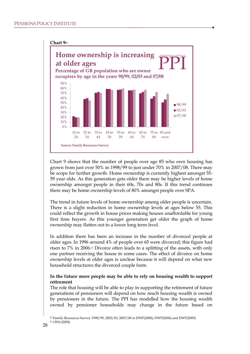

Chart 9 shows that the number of people over age 85 who own housing has grown from just over 50% in 1998/99 to just under 70% in 2007/08. There may be scope for further growth. Home ownership is currently highest amongst 55- 59 year olds. As this generation gets older there may be higher levels of home ownership amongst people in their 60s, 70s and 80s. If this trend continues there may be home ownership levels of 80% amongst people over SPA.

The trend in future levels of home ownership among older people is uncertain. There is a slight reduction in home ownership levels at ages below 55. This could reflect the growth in house prices making houses unaffordable for young first time buyers. As this younger generation get older the graph of home ownership may flatten out to a lower long term level.

In addition there has been an increase in the number of divorced people at older ages. In 1996 around 4% of people over 65 were divorced; this figure had risen to 7% in 2006.<sup>63</sup> Divorce often leads to a splitting of the assets, with only one partner receiving the house in some cases. The effect of divorce on home ownership levels at older ages is unclear because it will depend on what new household structures the divorced couple form.

# **In the future more people may be able to rely on housing wealth to support retirement**

The role that housing will be able to play in supporting the retirement of future generations of pensioners will depend on how much housing wealth is owned by pensioners in the future. The PPI has modelled how the housing wealth owned by pensioner households may change in the future based on

<sup>62</sup> Family Resources Survey 1998/99, 2002/03, 2007/08 in DWP(2000), DWP(2004) and DWP(2009) <sup>63</sup> ONS (2009)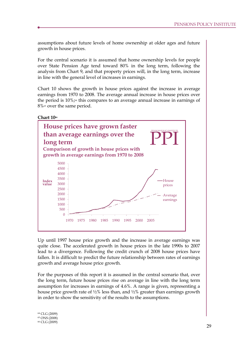assumptions about future levels of home ownership at older ages and future growth in house prices.

For the central scenario it is assumed that home ownership levels for people over State Pension Age tend toward 80% in the long term, following the analysis from Chart 9, and that property prices will, in the long term, increase in line with the general level of increases in earnings.

Chart 10 shows the growth in house prices against the increase in average earnings from 1970 to 2008. The average annual increase in house prices over the period is  $10\%$ ;<sup>64</sup> this compares to an average annual increase in earnings of 8%<sup>65</sup> over the same period.



Up until 1997 house price growth and the increase in average earnings was quite close. The accelerated growth in house prices in the late 1990s to 2007 lead to a divergence. Following the credit crunch of 2008 house prices have fallen. It is difficult to predict the future relationship between rates of earnings growth and average house price growth.

For the purposes of this report it is assumed in the central scenario that, over the long term, future house prices rise on average in line with the long term assumption for increases in earnings of 4.6%. A range is given, representing a house price growth rate of  $\frac{1}{2}\%$  less than, and  $\frac{1}{2}\%$  greater than earnings growth in order to show the sensitivity of the results to the assumptions.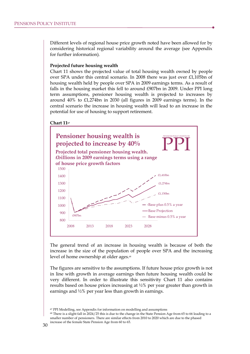Different levels of regional house price growth noted have been allowed for by considering historical regional variability around the average (see Appendix for further information).

#### **Projected future housing wealth**

Chart 11 shows the projected value of total housing wealth owned by people over SPA under this central scenario. In 2008 there was just over £1,105bn of housing wealth held by people over SPA in 2009 earnings terms. As a result of falls in the housing market this fell to around £907bn in 2009. Under PPI long term assumptions, pensioner housing wealth is projected to increases by around 40% to £1,274bn in 2030 (all figures in 2009 earnings terms). In the central scenario the increase in housing wealth will lead to an increase in the potential for use of housing to support retirement.





The general trend of an increase in housing wealth is because of both the increase in the size of the population of people over SPA and the increasing level of home ownership at older ages.<sup>68</sup>

The figures are sensitive to the assumptions. If future house price growth is not in line with growth in average earnings then future housing wealth could be very different. In order to illustrate this sensitivity Chart 11 also contains results based on house prices increasing at ½% per year greater than growth in earnings and ½% per year less than growth in earnings.

<sup>67</sup> PPI Modelling, see Appendix for information on modelling and assumptions

<sup>68</sup> There is a slight fall in 2024/25 this is due to the change in the State Pension Age from 65 to 66 leading to a smaller number of pensioners. There are similar effects from 2010 to 2020 which are due to the phased increase of the female State Pension Age from 60 to 65.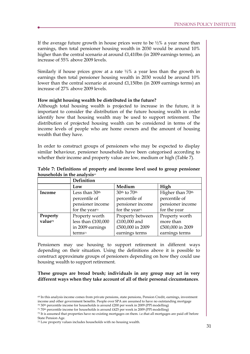If the average future growth in house prices were to be  $\frac{1}{2}\%$  a year more than earnings, then total pensioner housing wealth in 2030 would be around 10% higher than the central scenario at around £1,410bn (in 2009 earnings terms), an increase of 55% above 2009 levels.

Similarly if house prices grow at a rate  $\frac{1}{2}\%$  a year less than the growth in earnings then total pensioner housing wealth in 2030 would be around 10% lower than the central scenario at around £1,150bn (in 2009 earnings terms) an increase of 27% above 2009 levels.

### **How might housing wealth be distributed in the future?**

Although total housing wealth is projected to increase in the future, it is important to consider the distribution of the future housing wealth in order identify how that housing wealth may be used to support retirement. The distribution of projected housing wealth can be considered in terms of the income levels of people who are home owners and the amount of housing wealth that they have.

In order to construct groups of pensioners who may be expected to display similar behaviour, pensioner households have been categorised according to whether their income and property value are low, medium or high (Table 7).

|                                      | Definition                 |                            |                              |  |  |  |
|--------------------------------------|----------------------------|----------------------------|------------------------------|--|--|--|
|                                      | Low                        | Medium                     | High                         |  |  |  |
| Less than 30 <sup>th</sup><br>Income |                            | 30th to 70th               | Higher than 70 <sup>th</sup> |  |  |  |
|                                      | percentile of              | percentile of              |                              |  |  |  |
|                                      | pensioner income           | pensioner income           | pensioner income             |  |  |  |
|                                      | for the year <sup>70</sup> | for the year <sup>71</sup> | for the year                 |  |  |  |
| Property                             | Property worth             | Property between           | Property worth               |  |  |  |
| value <sup>72</sup>                  | less than £100,000         | £100,000 and               | more than                    |  |  |  |
|                                      | in 2009 earnings           | £500,000 in 2009           | £500,000 in 2009             |  |  |  |
|                                      | terms <sup>73</sup>        | earnings terms             | earnings terms               |  |  |  |

**Table 7: Definitions of property and income level used to group pensioner households in the analysis**<sup>69</sup>

Pensioners may use housing to support retirement in different ways depending on their situation. Using the definitions above it is possible to construct approximate groups of pensioners depending on how they could use housing wealth to support retirement.

**These groups are broad brush; individuals in any group may act in very different ways when they take account of all of their personal circumstances**.

<sup>70</sup> 30th percentile income for households is around £200 per week in 2009 (PPI modelling)

<sup>69</sup> In this analysis income comes from private pensions, state pensions, Pension Credit, earnings, investment income and other government benefits. People over SPA are assumed to have no outstanding mortgage

<sup>71</sup> 70th percentile income for households is around £425 per week in 2009 (PPI modelling)

 $72$  It is assumed that properties have no existing mortgages on them. i.e.that all mortgages are paid off before State Pension Age.

<sup>73</sup> Low property values includes households with no housing wealth.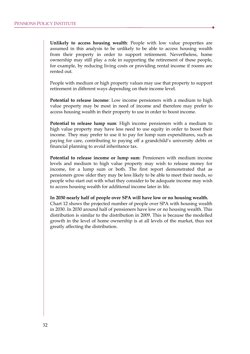**Unlikely to access housing wealth**: People with low value properties are assumed in this analysis to be unlikely to be able to access housing wealth from their property in order to support retirement. Nevertheless, home ownership may still play a role in supporting the retirement of these people, for example, by reducing living costs or providing rental income if rooms are rented out.

People with medium or high property values may use that property to support retirement in different ways depending on their income level.

**Potential to release income**: Low income pensioners with a medium to high value property may be most in need of income and therefore may prefer to access housing wealth in their property to use in order to boost income.

**Potential to release lump sum**: High income pensioners with a medium to high value property may have less need to use equity in order to boost their income. They may prefer to use it to pay for lump sum expenditures, such as paying for care, contributing to paying off a grandchild's university debts or financial planning to avoid inheritance tax.

**Potential to release income or lump sum**: Pensioners with medium income levels and medium to high value property may wish to release money for income, for a lump sum or both. The first report demonstrated that as pensioners grow older they may be less likely to be able to meet their needs, so people who start out with what they consider to be adequate income may wish to access housing wealth for additional income later in life.

**In 2030 nearly half of people over SPA will have low or no housing wealth.**  Chart 12 shows the projected number of people over SPA with housing wealth in 2030. In 2030 around half of pensioners have low or no housing wealth. This distribution is similar to the distribution in 2009. This is because the modelled growth in the level of home ownership is at all levels of the market, thus not greatly affecting the distribution.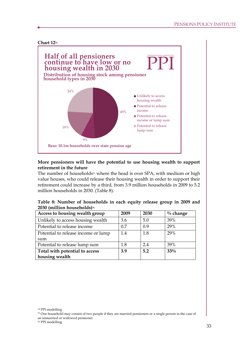### **Chart 12<sup>74</sup>**



# **More pensioners will have the potential to use housing wealth to support retirement in the future**

The number of households<sup>75</sup> where the head is over SPA, with medium or high value houses, who could release their housing wealth in order to support their retirement could increase by a third, from 3.9 million households in 2009 to 5.2 million households in 2030. (Table 8).

| Table 8: Number of households in each equity release group in 2009 and |  |  |  |  |
|------------------------------------------------------------------------|--|--|--|--|
| 2030 (million households) <sup>76</sup>                                |  |  |  |  |

| Access to housing wealth group      | 2009 | 2030 | $\%$ change |
|-------------------------------------|------|------|-------------|
| Unlikely to access housing wealth   | 3.6  | 5.0  | 39%         |
| Potential to release income         | 0.7  | 0.9  | 29%         |
| Potential to release income or lump | 1.4  | 1.8  | 29%         |
| sum                                 |      |      |             |
| Potential to release lump sum       | 1.8  | 24   | 39%         |
| Total with potential to access      | 3.9  | 5.2  | 33%         |
| housing wealth                      |      |      |             |

<sup>74</sup> PPI modelling

<sup>75</sup> One household may consist of two people if they are married pensioners or a single person in the case of an unmarried or widowed pensioner.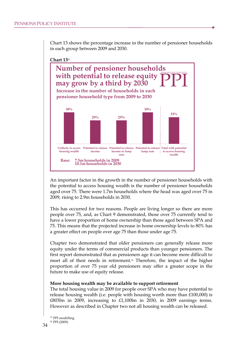Chart 13 shows the percentage increase in the number of pensioner households in each group between 2009 and 2030.

### **Chart 13<sup>77</sup>**



An important factor in the growth in the number of pensioner households with the potential to access housing wealth is the number of pensioner households aged over 75. There were 1.7m households where the head was aged over 75 in 2009, rising to 2.9m households in 2030.

This has occurred for two reasons. People are living longer so there are more people over 75, and, as Chart 9 demonstrated, those over 75 currently tend to have a lower proportion of home ownership than those aged between SPA and 75. This means that the projected increase in home ownership levels to 80% has a greater effect on people over age 75 than those under age 75.

Chapter two demonstrated that older pensioners can generally release more equity under the terms of commercial products than younger pensioners. The first report demonstrated that as pensioners age it can become more difficult to meet all of their needs in retirement.<sup>78</sup> Therefore, the impact of the higher proportion of over 75 year old pensioners may offer a greater scope in the future to make use of equity release.

#### **More housing wealth may be available to support retirement**

The total housing value in 2009 for people over SPA who may have potential to release housing wealth (i.e. people with housing worth more than  $£100,000$ ) is £803bn in 2009, increasing to £1,100bn in 2030, in 2009 earnings terms. However as described in Chapter two not all housing wealth can be released.

<sup>77</sup> PPI modelling <sup>78</sup> PPI (2009)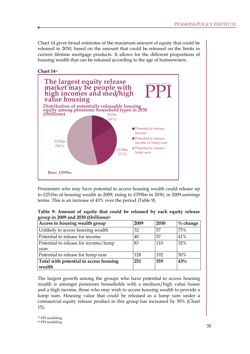Chart 14 gives broad estimates of the maximum amount of equity that could be released in 2030, based on the amount that could be released on the limits in current lifetime mortgage products. It allows for the different proportions of housing wealth that can be released according to the age of homeowners.



Pensioners who may have potential to access housing wealth could release up to £251bn of housing wealth in 2009, rising to £359bn in 2030, in 2009 earnings terms. This is an increase of 43% over the period (Table 9).

| Table 9: Amount of equity that could be released by each equity release |  |  |  |  |  |
|-------------------------------------------------------------------------|--|--|--|--|--|
| group in 2009 and 2030 (£billions) <sup>80</sup>                        |  |  |  |  |  |

| Access to housing wealth group         | 2009 | 2030 | $\%$ change |
|----------------------------------------|------|------|-------------|
| Unlikely to access housing wealth      | 32   | 57   | 75%         |
| Potential to release for income        | 40   | .57  | 41%         |
| Potential to release for income/lump   | 83   | 110  | 32%         |
| sum                                    |      |      |             |
| Potential to release for lump sum      | 128  | 192  | 50%         |
| Total with potential to access housing | 251  | 359  | 43%         |
| wealth                                 |      |      |             |

The largest growth among the groups who have potential to access housing wealth is amongst pensioner households with a medium/high value house and a high income, those who may wish to access housing wealth to provide a lump sum. Housing value that could be released as a lump sum under a commercial equity release product in this group has increased by 50% (Chart 15).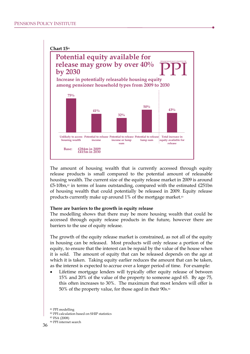

The amount of housing wealth that is currently accessed through equity release products is small compared to the potential amount of releasable housing wealth. The current size of the equity release market in 2009 is around  $£5-10$ bn,<sup>82</sup> in terms of loans outstanding, compared with the estimated  $£251$ bn of housing wealth that could potentially be released in 2009. Equity release products currently make up around 1% of the mortgage market.<sup>83</sup>

#### **There are barriers to the growth in equity release**

The modelling shows that there may be more housing wealth that could be accessed through equity release products in the future, however there are barriers to the use of equity release.

The growth of the equity release market is constrained, as not all of the equity in housing can be released. Most products will only release a portion of the equity, to ensure that the interest can be repaid by the value of the house when it is sold. The amount of equity that can be released depends on the age at which it is taken. Taking equity earlier reduces the amount that can be taken, as the interest is expected to accrue over a longer period of time. For example:

Lifetime mortgage lenders will typically offer equity release of between 15% and 20% of the value of the property to someone aged 65. By age 75, this often increases to 30%. The maximum that most lenders will offer is 50% of the property value, for those aged in their 90s.<sup>84</sup>

<sup>81</sup> PPI modelling

<sup>82</sup> PPI calculation based on SHIP statistics

<sup>83</sup> FSA (2008)

<sup>84</sup> PPI internet search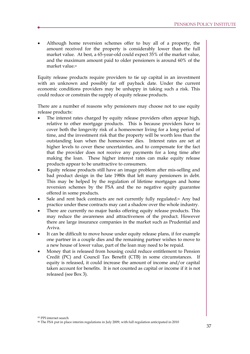Although home reversion schemes offer to buy all of a property, the amount received for the property is considerably lower than the full market value. At best, a 65-year-old could expect 35% of the market value, and the maximum amount paid to older pensioners is around 60% of the market value.<sup>85</sup>

Equity release products require providers to tie up capital in an investment with an unknown and possibly far off payback date. Under the current economic conditions providers may be unhappy in taking such a risk. This could reduce or constrain the supply of equity release products.

There are a number of reasons why pensioners may choose not to use equity release products:

- The interest rates charged by equity release providers often appear high, relative to other mortgage products. This is because providers have to cover both the longevity risk of a homeowner living for a long period of time, and the investment risk that the property will be worth less than the outstanding loan when the homeowner dies. Interest rates are set at higher levels to cover these uncertainties, and to compensate for the fact that the provider does not receive any payments for a long time after making the loan. These higher interest rates can make equity release products appear to be unattractive to consumers.
- · Equity release products still have an image problem after mis-selling and bad product design in the late 1980s that left many pensioners in debt. This may be helped by the regulation of lifetime mortgages and home reversion schemes by the FSA and the no negative equity guarantee offered in some products.
- Sale and rent back contracts are not currently fully regulated.<sup>86</sup> Any bad practice under these contracts may cast a shadow over the whole industry.
- There are currently no major banks offering equity release products. This may reduce the awareness and attractiveness of the product. However there are large insurance companies in the market such as Prudential and Aviva.
- It can be difficult to move house under equity release plans, if for example one partner in a couple dies and the remaining partner wishes to move to a new house of lower value, part of the loan may need to be repaid.
- · Money that is released from housing could reduce entitlement to Pension Credit (PC) and Council Tax Benefit (CTB) in some circumstances. If equity is released, it could increase the amount of income and/or capital taken account for benefits. It is not counted as capital or income if it is not released (see Box 3).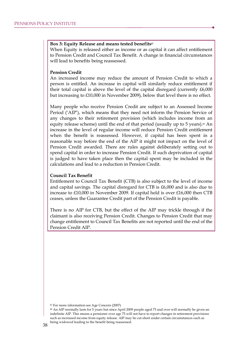#### **Box 3: Equity Release and means tested benefits<sup>87</sup>**

When Equity is released either as income or as capital it can affect entitlement to Pension Credit and Council Tax Benefit. A change in financial circumstances will lead to benefits being reassessed.

### **Pension Credit**

An increased income may reduce the amount of Pension Credit to which a person is entitled. An increase in capital will similarly reduce entitlement if their total capital is above the level of the capital disregard (currently £6,000 but increasing to £10,000 in November 2009), below that level there is no effect.

Many people who receive Pension Credit are subject to an Assessed Income Period ('AIP'), which means that they need not inform the Pension Service of any changes to their retirement provision (which includes income from an equity release scheme) until the end of that period (usually up to 5 years).<sup>88</sup> An increase in the level of regular income will reduce Pension Credit entitlement when the benefit is reassessed. However, if capital has been spent in a reasonable way before the end of the AIP it might not impact on the level of Pension Credit awarded. There are rules against deliberately setting out to spend capital in order to increase Pension Credit. If such deprivation of capital is judged to have taken place then the capital spent may be included in the calculations and lead to a reduction in Pension Credit.

#### **Council Tax Benefit**

Entitlement to Council Tax Benefit (CTB) is also subject to the level of income and capital savings. The capital disregard for CTB is £6,000 and is also due to increase to £10,000 in November 2009. If capital held is over £16,000 then CTB ceases, unless the Guarantee Credit part of the Pension Credit is payable.

There is no AIP for CTB, but the effect of the AIP may trickle through if the claimant is also receiving Pension Credit. Changes to Pension Credit that may change entitlement to Council Tax Benefits are not reported until the end of the Pension Credit AIP.

<sup>87</sup> For more information see Age Concern (2007)

<sup>88</sup> An AIP normally lasts for 5 years but since April 2009 people aged 75 and over will normally be given an indefinite AIP. This means a pensioner over age 75 will not have to report changes in retirement provisions such as increased income from equity release. AIP may be cut short under certain circumstances such as being widowed leading to the benefit being reassessed.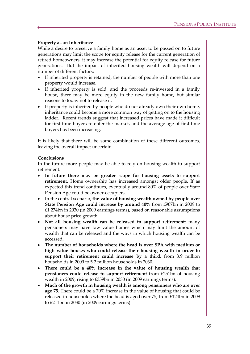# **Property as an Inheritance**

While a desire to preserve a family home as an asset to be passed on to future generations may limit the scope for equity release for the current generation of retired homeowners, it may increase the potential for equity release for future generations. But the impact of inherited housing wealth will depend on a number of different factors:

- · If inherited property is retained, the number of people with more than one property would increase.
- · If inherited property is sold, and the proceeds re-invested in a family house, there may be more equity in the new family home, but similar reasons to today not to release it.
- · If property is inherited by people who do not already own their own home, inheritance could become a more common way of getting on to the housing ladder. Recent trends suggest that increased prices have made it difficult for first-time buyers to enter the market, and the average age of first-time buyers has been increasing.

It is likely that there will be some combination of these different outcomes, leaving the overall impact uncertain.

#### **Conclusions**

In the future more people may be able to rely on housing wealth to support retirement:

- · **In future there may be greater scope for housing assets to support retirement**. Home ownership has increased amongst older people. If as expected this trend continues, eventually around 80% of people over State Pension Age could be owner-occupiers.
- · In the central scenario, **the value of housing wealth owned by people over State Pension Age could increase by around 40%** from £907bn in 2009 to £1,274bn in 2030 (in 2009 earnings terms), based on reasonable assumptions about house price growth.
- · **Not all housing wealth can be released to support retirement**: many pensioners may have low value homes which may limit the amount of wealth that can be released and the ways in which housing wealth can be accessed.
- · **The number of households where the head is over SPA with medium or high value houses who could release their housing wealth in order to support their retirement could increase by a third**, from 3.9 million households in 2009 to 5.2 million households in 2030.
- · **There could be a 40% increase in the value of housing wealth that pensioners could release to support retirement** from £251bn of housing wealth in 2009, rising to £359bn in 2030 (in 2009 earnings terms).
- · **Much of the growth in housing wealth is among pensioners who are over age 75.** There could be a 70% increase in the value of housing that could be released in households where the head is aged over 75, from £124bn in 2009 to £211bn in 2030 (in 2009 earnings terms).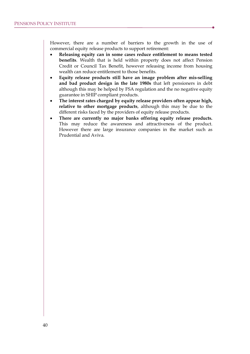However, there are a number of barriers to the growth in the use of commercial equity release products to support retirement:

- · **Releasing equity can in some cases reduce entitlement to means tested benefits**. Wealth that is held within property does not affect Pension Credit or Council Tax Benefit, however releasing income from housing wealth can reduce entitlement to those benefits.
- · **Equity release products still have an image problem after mis-selling and bad product design in the late 1980s** that left pensioners in debt although this may be helped by FSA regulation and the no negative equity guarantee in SHIP compliant products.
- · **The interest rates charged by equity release providers often appear high, relative to other mortgage products**, although this may be due to the different risks faced by the providers of equity release products.
- · **There are currently no major banks offering equity release products.** This may reduce the awareness and attractiveness of the product. However there are large insurance companies in the market such as Prudential and Aviva.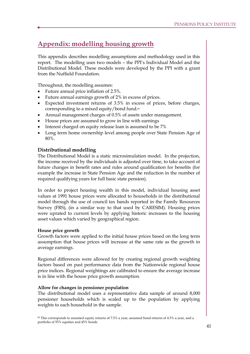# **Appendix: modelling housing growth**

This appendix describes modelling assumptions and methodology used in this report. The modelling uses two models – the PPI's Individual Model and the Distributional Model. These models were developed by the PPI with a grant from the Nuffield Foundation.

Throughout, the modelling assumes:

- · Future annual price inflation of 2.5%.
- · Future annual earnings growth of 2% in excess of prices.
- · Expected investment returns of 3.5% in excess of prices, before charges, corresponding to a mixed equity/bond fund.<sup>89</sup>
- · Annual management charges of 0.5% of assets under management.
- · House prices are assumed to grow in line with earnings
- Interest charged on equity release loan is assumed to be 7%
- · Long term home ownership level among people over State Pension Age of 80%.

# **Distributional modelling**

The Distributional Model is a static microsimulation model. In the projection, the income received by the individuals is adjusted over time, to take account of future changes in benefit rates and rules around qualification for benefits (for example the increase in State Pension Age and the reduction in the number of required qualifying years for full basic state pension).

In order to project housing wealth in this model, individual housing asset values at 1991 house prices were allocated to households in the distributional model through the use of council tax bands reported in the Family Resources Survey (FRS), (in a similar way to that used by CARESIM). Housing prices were uprated to current levels by applying historic increases to the housing asset values which varied by geographical region.

# **House price growth**

Growth factors were applied to the initial house prices based on the long term assumption that house prices will increase at the same rate as the growth in average earnings.

Regional differences were allowed for by creating regional growth weighting factors based on past performance data from the Nationwide regional house price indices. Regional weightings are calibrated to ensure the average increase is in line with the house price growth assumption.

# **Allow for changes in pensioner population**

The distributional model uses a representative data sample of around 8,000 pensioner households which is scaled up to the population by applying weights to each household in the sample.

<sup>89</sup> This corresponds to assumed equity returns of 7.5% a year, assumed bond returns of 4.5% a year, and a portfolio of 55% equities and 45% bonds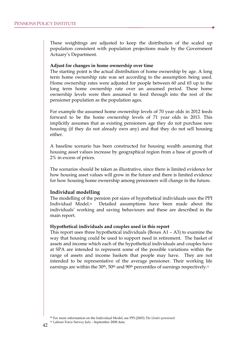These weightings are adjusted to keep the distribution of the scaled up population consistent with population projections made by the Government Actuary's Department.

#### **Adjust for changes in home ownership over time**

The starting point is the actual distribution of home ownership by age. A long term home ownership rate was set according to the assumption being used. Home ownership rates were adjusted for people between 60 and 65 up to the long term home ownership rate over an assumed period. These home ownership levels were then assumed to feed through into the rest of the pensioner population as the population ages.

For example the assumed home ownership levels of 70 year olds in 2012 feeds forward to be the home ownership levels of 71 year olds in 2013. This implicitly assumes that as existing pensioners age they do not purchase new housing (if they do not already own any) and that they do not sell housing either.

A baseline scenario has been constructed for housing wealth assuming that housing asset values increase by geographical region from a base of growth of 2% in excess of prices.

The scenarios should be taken as illustrative, since there is limited evidence for how housing asset values will grow in the future and there is limited evidence for how housing home ownership among pensioners will change in the future.

#### **Individual modelling**

The modelling of the pension pot sizes of hypothetical individuals uses the PPI Individual Model.90 Detailed assumptions have been made about the individuals' working and saving behaviours and these are described in the main report.

#### **Hypothetical individuals and couples used in this report**

This report uses three hypothetical individuals (Boxes A1 – A3) to examine the way that housing could be used to support need in retirement. The basket of assets and income which each of the hypothetical individuals and couples have at SPA are intended to represent some of the possible variations within the range of assets and income baskets that people may have. They are not intended to be representative of the average pensioner. Their working life earnings are within the 30<sup>th</sup>, 50<sup>th</sup> and 90<sup>th</sup> percentiles of earnings respectively.<sup>91</sup>

<sup>90</sup> For more information on the Individual Model, see PPI (2003) *The Under-pensioned*

<sup>91</sup> Labour Force Survey July - September 2008 data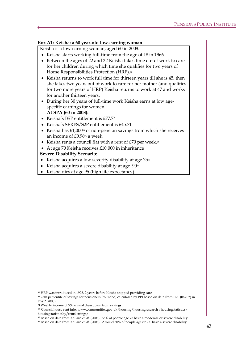# **Box A1: Keisha: a 60 year-old low-earning woman**

Keisha is a low-earning woman, aged 60 in 2008.

- · Keisha starts working full-time from the age of 18 in 1966.
- · Between the ages of 22 and 32 Keisha takes time out of work to care for her children during which time she qualifies for two years of Home Responsibilities Protection (HRP).<sup>92</sup>
- · Keisha returns to work full time for thirteen years till she is 45, then she takes two years out of work to care for her mother (and qualifies for two more years of HRP) Keisha returns to work at 47 and works for another thirteen years.
- · During her 30 years of full-time work Keisha earns at low agespecific earnings for women. **At SPA (60 in 2008):**
- · Keisha's BSP entitlement is £77.74
- · Keisha's SERPS/S2P entitlement is £45.71
- Keisha has  $£1,000$ <sup>93</sup> of non-pension savings from which she receives an income of £0.96<sup>94</sup> a week.
- Keisha rents a council flat with a rent of  $E70$  per week.<sup>95</sup>
- · At age 70 Keisha receives £10,000 in inheritance

# **Severe Disability Scenario**:

- Keisha acquires a low severity disability at age  $75%$
- Keisha acquires a severe disability at age 90<sup>97</sup>
- · Keisha dies at age 95 (high life expectancy)

92 HRP was introduced in 1978, 2 years before Keisha stopped providing care

<sup>93</sup> 25th percentile of savings for pensioners (rounded) calculated by PPI based on data from FRS (06/07) in DWP (2008)

<sup>94</sup> Weekly income of 5% annual drawdown from savings

<sup>95</sup> Council house rent info: www.communities.gov.uk/housing/housingresearch /housingstatistics/ housingstatisticsby/rentslettings/

<sup>96</sup> Based on data from Kellard *et. al.* (2006). 55% of people age 75 have a moderate or severe disability

<sup>97</sup> Based on data from Kellard *et. al.* (2006). Around 50% of people age 87 -90 have a severe disability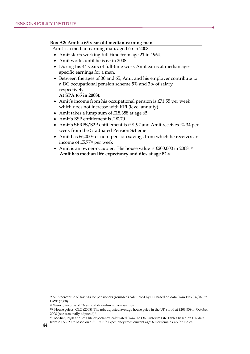### **Box A2: Amit: a 65 year-old median-earning man**

Amit is a median-earning man, aged 65 in 2008.

- · Amit starts working full-time from age 21 in 1964.
- · Amit works until he is 65 in 2008.
- · During his 44 years of full-time work Amit earns at median agespecific earnings for a man.
- · Between the ages of 30 and 65, Amit and his employer contribute to a DC occupational pension scheme 5% and 3% of salary respectively.

**At SPA (65 in 2008):** 

- Amit's income from his occupational pension is £71.55 per week which does not increase with RPI (level annuity).
- · Amit takes a lump sum of £18,388 at age 65.
- Amit's BSP entitlement is £90.70
- · Amit's SERPS/S2P entitlement is £91.92 and Amit receives £4.34 per week from the Graduated Pension Scheme
- Amit has £6,000<sup>%</sup> of non- pension savings from which he receives an income of £5.77<sup>99</sup> per week
- Amit is an owner-occupier. His house value is  $£200,000$  in  $2008$ .<sup>100</sup> **Amit has median life expectancy and dies at age 82**<sup>101</sup>

<sup>98</sup> 50th percentile of savings for pensioners (rounded) calculated by PPI based on data from FRS (06/07) in DWP (2008)

<sup>99</sup> Weekly income of 5% annual drawdown from savings

<sup>100</sup> House prices: CLG (2008) 'The mix-adjusted average house price in the UK stood at £203,539 in October 2008 (not seasonally adjusted).'

<sup>101</sup> Median, high and low life expectancy calculated from the ONS interim Life Tables based on UK data from 2005 – 2007 based on a future life expectancy from current age: 60 for females, 65 for males.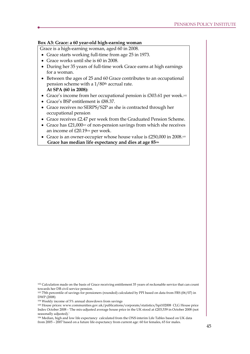# **Box A3: Grace: a 60 year-old high-earning woman**

Grace is a high-earning woman, aged 60 in 2008.

- · Grace starts working full-time from age 25 in 1973.
- · Grace works until she is 60 in 2008.
- · During her 35 years of full-time work Grace earns at high earnings for a woman.
- · Between the ages of 25 and 60 Grace contributes to an occupational pension scheme with a 1/80th accrual rate. **At SPA (60 in 2008):**
- Grace's income from her occupational pension is £303.61 per week.<sup>102</sup>
- · Grace's BSP entitlement is £88.37.
- · Grace receives no SERPS/S2P as she is contracted through her occupational pension
- · Grace receives £2.47 per week from the Graduated Pension Scheme.
- Grace has £21,000<sup>103</sup> of non-pension savings from which she receives an income of £20.19<sup>104</sup> per week.
- · Grace is an owner-occupier whose house value is £250,000 in 2008.<sup>105</sup> **Grace has median life expectancy and dies at age 85<sup>106</sup>**

<sup>102</sup> Calculation made on the basis of Grace receiving entitlement 35 years of reckonable service that can count towards her DB civil service pension.

<sup>103</sup> 75th percentile of savings for pensioners (rounded) calculated by PPI based on data from FRS (06/07) in DWP (2008)

<sup>104</sup> Weekly income of 5% annual drawdown from savings

<sup>105</sup> House prices: www.communities.gov.uk/publications/corporate/statistics/hpi102008 CLG House price Index October 2008 - 'The mix-adjusted average house price in the UK stood at £203,539 in October 2008 (not seasonally adjusted).

<sup>106</sup> Median, high and low life expectancy calculated from the ONS interim Life Tables based on UK data from 2005 – 2007 based on a future life expectancy from current age: 60 for females, 65 for males.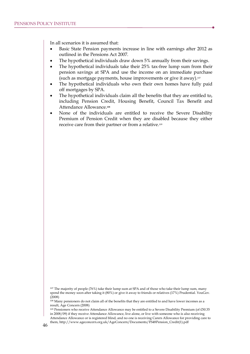In all scenarios it is assumed that:

- Basic State Pension payments increase in line with earnings after 2012 as outlined in the Pensions Act 2007.
- The hypothetical individuals draw down 5% annually from their savings.
- The hypothetical individuals take their 25% tax-free lump sum from their pension savings at SPA and use the income on an immediate purchase (such as mortgage payments, house improvements or give it away).<sup>107</sup>
- The hypothetical individuals who own their own homes have fully paid off mortgages by SPA.
- The hypothetical individuals claim all the benefits that they are entitled to, including Pension Credit, Housing Benefit, Council Tax Benefit and Attendance Allowance.**<sup>108</sup>**
- · None of the individuals are entitled to receive the Severe Disability Premium of Pension Credit when they are disabled because they either receive care from their partner or from a relative.<sup>109</sup>

<sup>107</sup> The majority of people (76%) take their lump sum at SPA and of those who take their lump sum, many spend the money soon after taking it (80%) or give it away to friends or relatives (17%) Prudential. YouGov. (2008)

<sup>&</sup>lt;sup>108</sup> Many pensioners do not claim all of the benefits that they are entitled to and have lower incomes as a result, Age Concern (2008)

<sup>109</sup> Pensioners who receive Attendance Allowance may be entitled to a Severe Disability Premium (of £50.35 in 2008/09) if they receive Attendance Allowance, live alone, or live with someone who is also receiving Attendance Allowance or is registered blind, and no one is receiving Carers Allowance for providing care to

them, http://www.ageconcern.org.uk/AgeConcern/Documents/FS48Pension\_Credit(1).pdf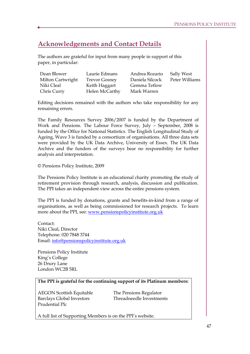# **Acknowledgements and Contact Details**

The authors are grateful for input from many people in support of this paper, in particular:

| Dean Blower       | Laurie Edmans        | Andrea Rozario  | Sally West     |
|-------------------|----------------------|-----------------|----------------|
| Milton Cartwright | <b>Trevor Gosney</b> | Daniela Silcock | Peter Williams |
| Niki Cleal        | Keith Haggart        | Gemma Tetlow    |                |
| Chris Curry       | Helen McCarthy       | Mark Warren     |                |

Editing decisions remained with the authors who take responsibility for any remaining errors.

The Family Resources Survey 2006/2007 is funded by the Department of Work and Pensions. The Labour Force Survey, July – September, 2008 is funded by the Office for National Statistics. The English Longitudinal Study of Ageing, Wave 3 is funded by a consortium of organisations. All three data sets were provided by the UK Data Archive, University of Essex. The UK Data Archive and the funders of the surveys bear no responsibility for further analysis and interpretation.

© Pensions Policy Institute, 2009

The Pensions Policy Institute is an educational charity promoting the study of retirement provision through research, analysis, discussion and publication. The PPI takes an independent view across the entire pensions system.

The PPI is funded by donations, grants and benefits-in-kind from a range of organisations, as well as being commissioned for research projects. To learn more about the PPI, see: www.pensionspolicyinstitute.org.uk

Contact: Niki Cleal, Director Telephone: 020 7848 3744 Email: info@pensionspolicyinstitute.org.uk

Pensions Policy Institute King's College 26 Drury Lane London WC2B 5RL

# **The PPI is grateful for the continuing support of its Platinum members:**

AEGON Scottish Equitable The Pensions Regulator Prudential Plc

Barclays Global Investors Threadneedle Investments

A full list of Supporting Members is on the PPI's website.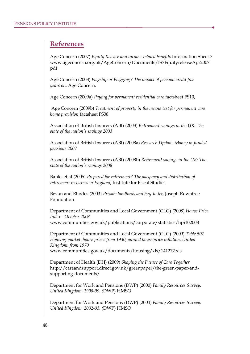# **References**

Age Concern (2007) *Equity Release and income-related benefits* Information Sheet 7 www.ageconcern.org.uk/AgeConcern/Documents/IS7EquityreleaseApr2007. pdf

Age Concern (2008) *Flagship or Flagging? The impact of pension credit five years on*. Age Concern.

Age Concern (2009a) *Paying for permanent residential care* factsheet FS10,

Age Concern (2009b) *Treatment of property in the means test for permanent care home provision* factsheet FS38

Association of British Insurers (ABI) (2003) *Retirement savings in the UK: The state of the nation's savings 2003* 

Association of British Insurers (ABI) (2008a) *Research Update: Money in funded pensions 2007* 

Association of British Insurers (ABI) (2008b) *Retirement savings in the UK: The state of the nation's savings 2008* 

Banks et al (2005) *Prepared for retirement? The adequacy and distribution of retirement resources in England*, Institute for Fiscal Studies

Bevan and Rhodes (2003) *Private landlords and buy-to-let*, Joseph Rowntree Foundation

Department of Communities and Local Government (CLG) (2008) *House Price Index - October 2008* www.communities.gov.uk/publications/corporate/statistics/hpi102008

Department of Communities and Local Government (CLG) (2009) *Table 502 Housing market: house prices from 1930, annual house price inflation, United Kingdom, from 1970*  www.communities.gov.uk/documents/housing/xls/141272.xls

Department of Health (DH) (2009) *Shaping the Future of Care Together*  http://careandsupport.direct.gov.uk/greenpaper/the-green-paper-andsupporting-documents/

Department for Work and Pensions (DWP) (2000) *Family Resources Survey. United Kingdom. 1998-99. (*DWP) HMSO

Department for Work and Pensions (DWP) (2004) *Family Resources Survey. United Kingdom. 2002-03. (*DWP) HMSO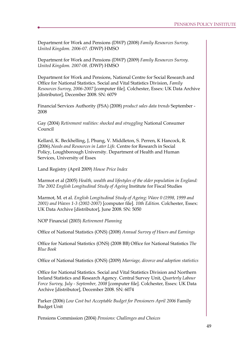Department for Work and Pensions (DWP) (2008) *Family Resources Survey. United Kingdom. 2006-07. (*DWP) HMSO

Department for Work and Pensions (DWP) (2009) *Family Resources Survey. United Kingdom. 2007-08. (*DWP) HMSO

Department for Work and Pensions, National Centre for Social Research and Office for National Statistics. Social and Vital Statistics Division, *Family Resources Survey, 2006-2007* [computer file]. Colchester, Essex: UK Data Archive [distributor], December 2008. SN: 6079

Financial Services Authority (FSA) (2008) *product sales data trends* September - 2008

Gay (2004) *Retirement realities: shocked and struggling* National Consumer Council

Kellard, K. Beckhelling, J, Phung, V. Middleton, S. Perren, K Hancock, R. (2006).*Needs and Resources in Later Life.* Centre for Research in Social Policy, Loughborough University. Department of Health and Human Services, University of Essex

Land Registry (April 2009) *House Price Index* 

Marmot et al (2005) *Health, wealth and lifestyles of the older population in England: The 2002 English Longitudinal Study of Ageing* Institute for Fiscal Studies

Marmot, M. et al. *English Longitudinal Study of Ageing: Wave 0 (1998, 1999 and 2001) and Waves 1-3 (2002-2007)* [computer file]. *10th Edition.* Colchester, Essex: UK Data Archive [distributor], June 2008. SN: 5050

NOP Financial (2003) *Retirement Planning* 

Office of National Statistics (ONS) (2008) *Annual Survey of Hours and Earnings*

Office for National Statistics (ONS) (2008 BB) Office for National Statistics *The Blue Book* 

Office of National Statistics (ONS) (2009) *Marriage, divorce and adoption statistics*

Office for National Statistics. Social and Vital Statistics Division and Northern Ireland Statistics and Research Agency. Central Survey Unit, *Quarterly Labour Force Survey, July - September, 2008* [computer file]. Colchester, Essex: UK Data Archive [distributor], December 2008. SN: 6074

Parker (2006) *Low Cost but Acceptable Budget for Pensioners April 2006* Family Budget Unit

Pensions Commission (2004) *Pensions: Challenges and Choices*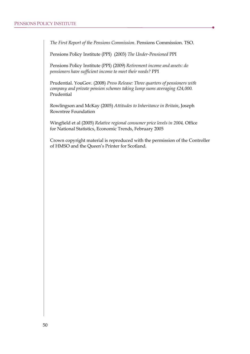*The First Report of the Pensions Commission.* Pensions Commission. TSO.

Pensions Policy Institute (PPI) (2003) *The Under-Pensioned* PPI

Pensions Policy Institute (PPI) (2009) *Retirement income and assets: do pensioners have sufficient income to meet their needs?* PPI

Prudential. YouGov. (2008) *Press Release: Three quarters of pensioners with company and private pension schemes taking lump sums averaging £24,000.*  Prudential

Rowlingson and McKay (2005) *Attitudes to Inheritance in Britain*, Joseph Rowntree Foundation

Wingfield et al (2005) *Relative regional consumer price levels in 2004,* Office for National Statistics, Economic Trends, February 2005

Crown copyright material is reproduced with the permission of the Controller of HMSO and the Queen's Printer for Scotland.